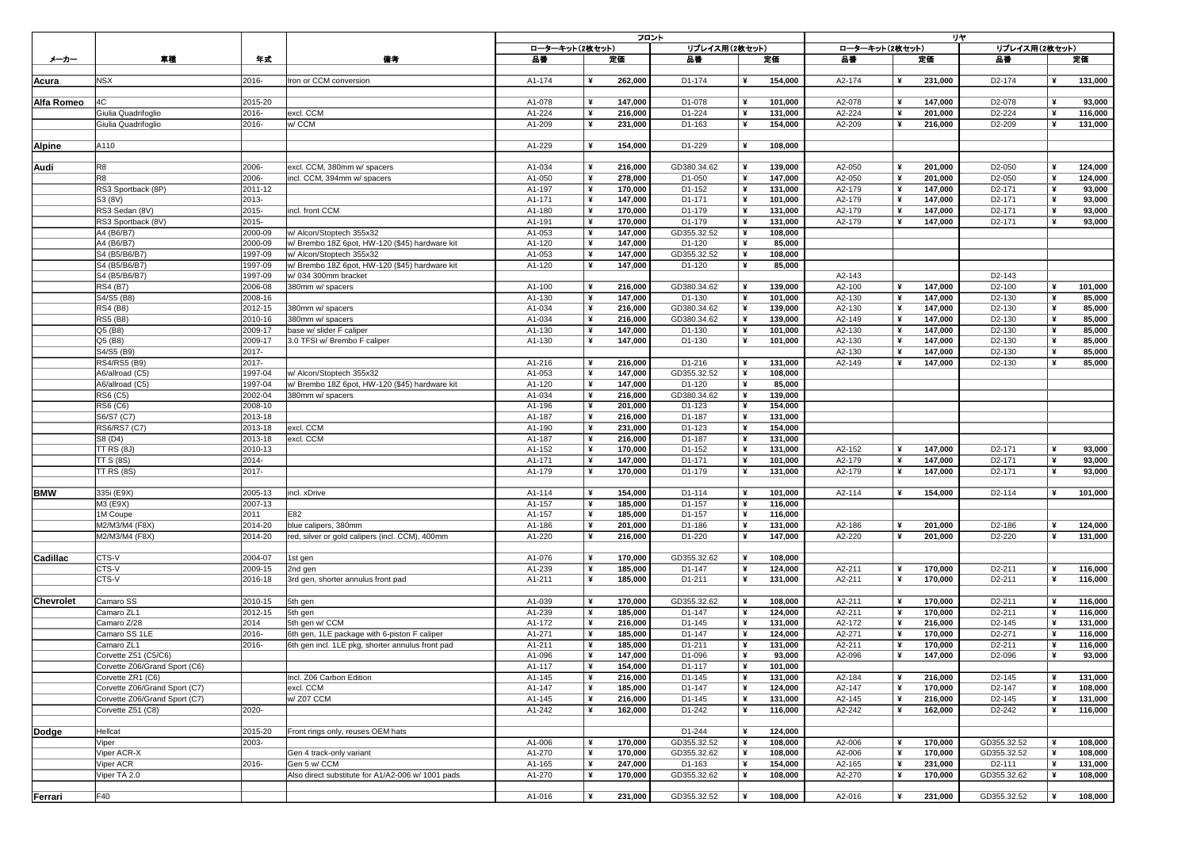|                   |                                                                |                    |                                                                            | フロント             |   |                    |                       |        |                    | リヤ               |  |                    |                                            |   |                    |  |  |
|-------------------|----------------------------------------------------------------|--------------------|----------------------------------------------------------------------------|------------------|---|--------------------|-----------------------|--------|--------------------|------------------|--|--------------------|--------------------------------------------|---|--------------------|--|--|
|                   | 車種                                                             |                    |                                                                            | ローターキット(2枚セット)   |   |                    | リプレイス用(2枚セット)         |        |                    | ローターキット(2枚セット)   |  | リプレイス用(2枚セット)      |                                            |   |                    |  |  |
| メーカー              |                                                                | 年式                 | 備考                                                                         | 品番               |   | 定価                 | 品番                    |        | 定価                 | 品番               |  | 定価                 | 品番                                         |   | 定価                 |  |  |
|                   |                                                                |                    |                                                                            |                  |   |                    |                       |        |                    |                  |  |                    |                                            |   |                    |  |  |
| Acura             | <b>NSX</b>                                                     | 2016-              | Iron or CCM conversion                                                     | A1-174           |   | 262,000            | D1-174                |        | 154,000            | A2-174           |  | 231,000            | D <sub>2</sub> -174                        |   | 131,000            |  |  |
| <b>Alfa Romeo</b> | 4C                                                             | 2015-20            |                                                                            | A1-078           | ¥ | 147,000            | D1-078                | ¥      | 101,000            | A2-078           |  | 147,000            | D <sub>2</sub> -078                        |   | 93,000             |  |  |
|                   | Giulia Quadrifoglio                                            | 2016-              | excl. CCM                                                                  | A1-224           |   | 216,000            | D1-224                |        | 131,000            | A2-224           |  | 201,000            | D2-224                                     |   | 116,000            |  |  |
|                   | Giulia Quadrifoglio                                            | 2016-              | w/ CCM                                                                     | A1-209           |   | 231,000            | D1-163                | ¥      | 154,000            | A2-209           |  | 216,000            | D <sub>2</sub> -209                        |   | 131,000            |  |  |
|                   |                                                                |                    |                                                                            |                  |   |                    |                       |        |                    |                  |  |                    |                                            |   |                    |  |  |
| <b>Alpine</b>     | A110                                                           |                    |                                                                            | A1-229           |   | 154,000            | D1-229                | ¥      | 108,000            |                  |  |                    |                                            |   |                    |  |  |
|                   |                                                                |                    |                                                                            |                  |   |                    |                       |        |                    |                  |  |                    |                                            |   |                    |  |  |
| <b>Audi</b>       | R <sub>8</sub>                                                 | 2006-              | excl. CCM, 380mm w/ spacers                                                | A1-034           |   | 216,000            | GD380.34.62           | ¥      | 139,000            | A2-050           |  | 201,000            | D <sub>2</sub> -050                        |   | 124,000            |  |  |
|                   | R <sub>8</sub>                                                 | 2006-              | incl. CCM, 394mm w/ spacers                                                | A1-050           |   | 278,000            | D1-050                | ¥      | 147,000            | A2-050           |  | 201,000            | D <sub>2</sub> -050                        |   | 124,000            |  |  |
|                   | RS3 Sportback (8P)                                             | 2011-12            |                                                                            | A1-197           | ¥ | 170,000            | D1-152                | ¥      | 131,000            | A2-179           |  | 147,000            | D <sub>2</sub> -171                        | ¥ | 93,000             |  |  |
|                   | S3 (8V)                                                        | $2013 -$           |                                                                            | A1-171           | ¥ | 147,000            | D1-171                |        | 101,000            | A2-179           |  | 147,000            | D <sub>2</sub> -171                        |   | 93,000             |  |  |
|                   | RS3 Sedan (8V)                                                 | 2015-              | incl. front CCM                                                            | A1-180           | ¥ | 170,000            | D1-179                |        | 131,000            | A2-179           |  | 147,000            | D <sub>2</sub> -171                        | ¥ | 93,000             |  |  |
|                   | RS3 Sportback (8V)                                             | 2015-              |                                                                            | A1-191           |   | 170,000            | D1-179                |        | 131,000            | A2-179           |  | 147,000            | D <sub>2</sub> -171                        |   | 93,000             |  |  |
|                   | A4 (B6/B7)                                                     | 2000-09            | w/ Alcon/Stoptech 355x32                                                   | A1-053           |   | 147,000            | GD355.32.52           | ¥<br>¥ | 108,000            |                  |  |                    |                                            |   |                    |  |  |
|                   | A4 (B6/B7)<br>S4 (B5/B6/B7)                                    | 2000-09<br>1997-09 | w/ Brembo 18Z 6pot, HW-120 (\$45) hardware kit<br>w/ Alcon/Stoptech 355x32 | A1-120<br>A1-053 | ¥ | 147,000<br>147,000 | D1-120<br>GD355.32.52 | ¥      | 85,000<br>108,000  |                  |  |                    |                                            |   |                    |  |  |
|                   | S4 (B5/B6/B7)                                                  | 1997-09            | w/ Brembo 18Z 6pot, HW-120 (\$45) hardware kit                             | A1-120           |   | 147,000            | D1-120                |        | 85,000             |                  |  |                    |                                            |   |                    |  |  |
|                   | S4 (B5/B6/B7)                                                  | 1997-09            | w/034 300mm bracket                                                        |                  |   |                    |                       |        |                    | A2-143           |  |                    | D <sub>2</sub> -143                        |   |                    |  |  |
|                   | <b>RS4 (B7)</b>                                                | 2006-08            | 380mm w/ spacers                                                           | A1-100           | ¥ | 216,000            | GD380.34.62           | ¥      | 139,000            | A2-100           |  | 147,000            | D <sub>2</sub> -100                        |   | 101,000            |  |  |
|                   | S4/S5 (B8)                                                     | 2008-16            |                                                                            | A1-130           | ¥ | 147,000            | D1-130                | ¥      | 101,000            | A2-130           |  | 147,000            | D <sub>2</sub> -130                        |   | 85,000             |  |  |
|                   | <b>RS4 (B8)</b>                                                | 2012-15            | 380mm w/ spacers                                                           | A1-034           |   | 216,000            | GD380.34.62           |        | 139,000            | A2-130           |  | 147,000            | D <sub>2</sub> -130                        |   | 85,000             |  |  |
|                   | <b>RS5 (B8)</b>                                                | 2010-16            | 380mm w/ spacers                                                           | A1-034           |   | 216,000            | GD380.34.62           |        | 139,000            | A2-149           |  | 147,000            | D2-130                                     |   | 85,000             |  |  |
|                   | Q5 (B8)                                                        | 2009-17            | base w/ slider F caliper                                                   | A1-130           |   | 147,000            | D1-130                | ¥      | 101,000            | A2-130           |  | 147,000            | D <sub>2</sub> -130                        |   | 85,000             |  |  |
|                   | Q5 (B8)                                                        | 2009-17            | 3.0 TFSI w/ Brembo F caliper                                               | A1-130           |   | 147,000            | D1-130                |        | 101,000            | A2-130           |  | 147,000            | D <sub>2</sub> -130                        |   | 85,000             |  |  |
|                   | S4/S5 (B9)                                                     | $ 2017 -$          |                                                                            |                  |   |                    |                       |        |                    | A2-130           |  | 147,000            | D <sub>2</sub> -130                        |   | 85,000             |  |  |
|                   | <b>RS4/RS5 (B9)</b>                                            | 2017-              |                                                                            | A1-216           |   | 216,000            | D1-216                |        | 131,000            | A2-149           |  | 147,000            | D <sub>2</sub> -130                        |   | 85,000             |  |  |
|                   | A6/allroad (C5)                                                | 1997-04            | w/ Alcon/Stoptech 355x32                                                   | A1-053           |   | 147,000            | GD355.32.52           |        | 108,000            |                  |  |                    |                                            |   |                    |  |  |
|                   | A6/allroad (C5)                                                | 1997-04            | w/ Brembo 18Z 6pot, HW-120 (\$45) hardware kit                             | A1-120           |   | 147,000            | D1-120                |        | 85,000             |                  |  |                    |                                            |   |                    |  |  |
|                   | <b>RS6 (C5)</b>                                                | 2002-04            | 380mm w/ spacers                                                           | A1-034           |   | 216,000            | GD380.34.62           |        | 139,000            |                  |  |                    |                                            |   |                    |  |  |
|                   | <b>RS6 (C6)</b>                                                | 2008-10            |                                                                            | A1-196           |   | 201,000            | D1-123                |        | 154,000            |                  |  |                    |                                            |   |                    |  |  |
|                   | S6/S7 (C7)                                                     | 2013-18            |                                                                            | A1-187           |   | 216,000            | D1-187                |        | 131,000            |                  |  |                    |                                            |   |                    |  |  |
|                   | <b>RS6/RS7 (C7)</b>                                            | 2013-18            | excl. CCM                                                                  | A1-190           |   | 231,000            | D1-123                |        | 154,000            |                  |  |                    |                                            |   |                    |  |  |
|                   | S8 (D4)                                                        | 2013-18            | excl. CCM                                                                  | A1-187           |   | 216,000            | D1-187                |        | 131,000            |                  |  |                    |                                            |   |                    |  |  |
|                   | <b>TT RS (8J)</b>                                              | 2010-13            |                                                                            | A1-152           |   | 170,000            | D1-152                |        | 131,000            | A2-152           |  | 147,000            | D <sub>2</sub> -171                        |   | 93,000             |  |  |
|                   | <b>TT S (8S)</b>                                               | 2014-              |                                                                            | A1-171           |   | 147,000            | D1-171                |        | 101,000            | A2-179           |  | 147,000            | D <sub>2</sub> -171                        |   | 93,000             |  |  |
|                   | <b>TT RS (8S)</b>                                              | $2017 -$           |                                                                            | A1-179           |   | 170,000            | D1-179                |        | 131,000            | A2-179           |  | 147,000            | D <sub>2</sub> -171                        |   | 93,000             |  |  |
| <b>BMW</b>        | 335i (E9X)                                                     | 2005-13            | incl. xDrive                                                               | A1-114           |   | 154,000            | D1-114                |        | 101,000            | A2-114           |  | 154,000            | D2-114                                     |   | 101,000            |  |  |
|                   | M3 (E9X)                                                       | 2007-13            |                                                                            | A1-157           |   | 185,000            | D1-157                |        | 116,000            |                  |  |                    |                                            |   |                    |  |  |
|                   | 1M Coupe                                                       | 2011               | E82                                                                        | A1-157           |   | 185,000            | D1-157                |        | 116,000            |                  |  |                    |                                            |   |                    |  |  |
|                   | M2/M3/M4 (F8X)                                                 | 2014-20            | blue calipers, 380mm                                                       | A1-186           |   | 201,000            | D1-186                |        | 131,000            | A2-186           |  | 201,000            | D2-186                                     |   | 124,000            |  |  |
|                   | M2/M3/M4 (F8X)                                                 | 2014-20            | red, silver or gold calipers (incl. CCM), 400mm                            | A1-220           |   | 216,000            | D1-220                |        | 147,000            | A2-220           |  | 201,000            | D2-220                                     |   | 131,000            |  |  |
|                   |                                                                |                    |                                                                            |                  |   |                    |                       |        |                    |                  |  |                    |                                            |   |                    |  |  |
| <b>Cadillac</b>   | CTS-V                                                          | 2004-07            | 1st gen                                                                    | A1-076           |   | 170,000            | GD355.32.62           |        | 108,000            |                  |  |                    |                                            |   |                    |  |  |
|                   | CTS-V                                                          | 2009-15            | $ 2nd$ gen                                                                 | A1-239           |   | 185,000            | D1-147                |        | 124,000            | A2-211           |  | 170,000            | D2-211                                     |   | 116,000            |  |  |
|                   | CTS-V                                                          | 2016-18            | 3rd gen, shorter annulus front pad                                         | A1-211           |   | 185,000            | D1-211                |        | 131,000            | A2-211           |  | 170,000            | D <sub>2</sub> -211                        |   | 116,000            |  |  |
|                   |                                                                |                    |                                                                            |                  |   |                    |                       |        |                    |                  |  |                    |                                            |   |                    |  |  |
| <b>Chevrolet</b>  | Camaro SS                                                      |                    | $ 2010-15 $ 5th gen                                                        | A1-039           |   | 170,000            | GD355.32.62           |        | 108,000            | A2-211           |  | 170,000            | D <sub>2</sub> -211                        |   | 116,000            |  |  |
|                   | Camaro ZL1                                                     |                    | 2012-15 5th gen                                                            | A1-239           |   | 185,000            | D1-147                | ¥      | 124,000            | A2-211           |  | 170,000            | D <sub>2</sub> -211                        |   | 116,000            |  |  |
|                   | Camaro Z/28                                                    | 2014               | 5th gen w/ CCM                                                             | A1-172           |   | 216,000            | D1-145                |        | 131,000            | A2-172           |  | 216,000            | D <sub>2</sub> -145                        |   | 131,000            |  |  |
|                   | Camaro SS 1LE                                                  | 2016-              | 6th gen, 1LE package with 6-piston F caliper                               | A1-271           |   | 185,000            | D1-147                |        | 124,000            | A2-271           |  | 170,000            | D <sub>2</sub> -271                        |   | 116,000            |  |  |
|                   | Camaro ZL1                                                     | 2016-              | 6th gen incl. 1LE pkg, shorter annulus front pad                           | A1-211           |   | 185,000            | D1-211                |        | 131,000            | A2-211           |  | 170,000            | D <sub>2</sub> -211                        |   | 116,000            |  |  |
|                   | Corvette Z51 (C5/C6)                                           |                    |                                                                            | A1-096           | ¥ | 147,000            | D1-096                |        | 93,000             | A2-096           |  | 147,000            | D <sub>2</sub> -096                        |   | 93,000             |  |  |
|                   | Corvette Z06/Grand Sport (C6)                                  |                    |                                                                            | A1-117           |   | 154,000            | D1-117                |        | 101,000            |                  |  |                    |                                            |   |                    |  |  |
|                   | Corvette ZR1 (C6)                                              |                    | Incl. Z06 Carbon Edition<br>excl. CCM                                      | A1-145           |   | 216,000            | D1-145                |        | 131,000<br>124,000 | A2-184           |  | 216,000<br>170,000 | D <sub>2</sub> -145                        |   | 131,000            |  |  |
|                   | Corvette Z06/Grand Sport (C7)<br>Corvette Z06/Grand Sport (C7) |                    | w/ Z07 CCM                                                                 | A1-147<br>A1-145 |   | 185,000<br>216,000 | D1-147<br>D1-145      |        | 131,000            | A2-147<br>A2-145 |  | 216,000            | D <sub>2</sub> -147<br>D <sub>2</sub> -145 |   | 108,000<br>131,000 |  |  |
|                   | Corvette Z51 (C8)                                              | 2020-              |                                                                            | A1-242           |   | 162,000            | D1-242                |        | 116,000            | A2-242           |  | 162,000            | D <sub>2</sub> -242                        |   | 116,000            |  |  |
|                   |                                                                |                    |                                                                            |                  |   |                    |                       |        |                    |                  |  |                    |                                            |   |                    |  |  |
| Dodge             | Hellcat                                                        | 2015-20            | Front rings only, reuses OEM hats                                          |                  |   |                    | D1-244                |        | 124,000            |                  |  |                    |                                            |   |                    |  |  |
|                   | Viper                                                          | 2003-              |                                                                            | A1-006           |   | 170,000            | GD355.32.52           |        | 108,000            | A2-006           |  | 170,000            | GD355.32.52                                |   | 108,000            |  |  |
|                   | Viper ACR-X                                                    |                    | Gen 4 track-only variant                                                   | A1-270           |   | 170,000            | GD355.32.62           |        | 108,000            | A2-006           |  | 170,000            | GD355.32.52                                |   | 108,000            |  |  |
|                   | <b>Viper ACR</b>                                               | 2016-              | Gen 5 w/ CCM                                                               | A1-165           |   | 247,000            | D1-163                |        | 154,000            | A2-165           |  | 231,000            | D <sub>2</sub> -111                        |   | 131,000            |  |  |
|                   | Viper TA 2.0                                                   |                    | Also direct substitute for A1/A2-006 w/ 1001 pads                          | A1-270           |   | 170,000            | GD355.32.62           |        | 108,000            | A2-270           |  | 170,000            | GD355.32.62                                |   | 108,000            |  |  |
|                   |                                                                |                    |                                                                            |                  |   |                    |                       |        |                    |                  |  |                    |                                            |   |                    |  |  |
| Ferrari           | F40                                                            |                    |                                                                            | A1-016           |   | 231,000            | GD355.32.52           |        | 108,000            | A2-016           |  | 231,000            | GD355.32.52                                |   | 108,000            |  |  |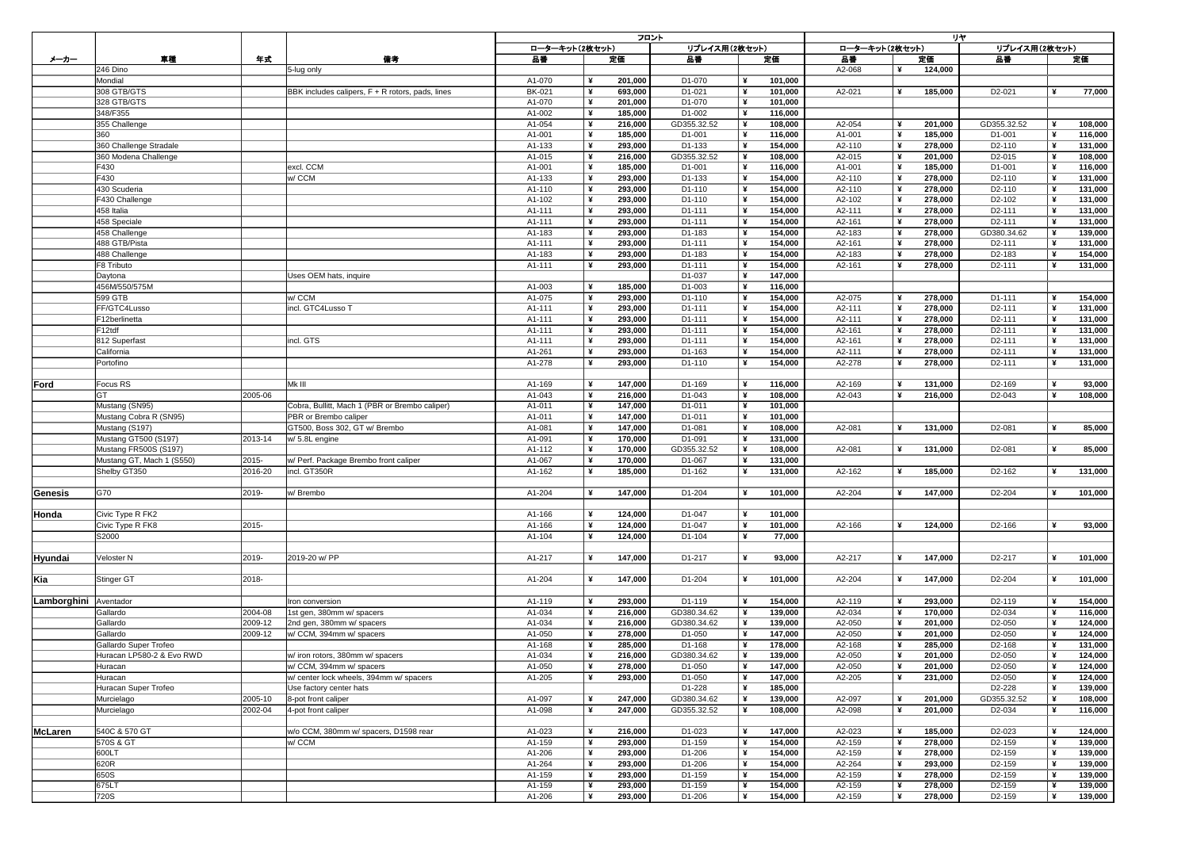|                |                           |    |         |                                                  | フロント          |                |         |               |   |         | リヤ             |  |         |                                 |                       |         |  |  |
|----------------|---------------------------|----|---------|--------------------------------------------------|---------------|----------------|---------|---------------|---|---------|----------------|--|---------|---------------------------------|-----------------------|---------|--|--|
|                |                           |    |         |                                                  |               | ローターキット(2枚セット) |         | リプレイス用(2枚セット) |   |         | ローターキット(2枚セット) |  |         | リプレイス用(2枚セット)                   |                       |         |  |  |
|                |                           |    |         |                                                  |               |                |         |               |   |         |                |  |         |                                 |                       |         |  |  |
| メーカー           |                           | 車種 | 年式      | 備考                                               | 品番            |                | 定価      | 品番            |   | 定価      | 品番             |  | 定価      | 品番                              |                       | 定価      |  |  |
|                | 246 Dino                  |    |         | 5-lug only                                       |               |                |         |               |   |         | A2-068         |  | 124,000 |                                 |                       |         |  |  |
|                | Mondial                   |    |         |                                                  | A1-070        | ¥              | 201,000 | D1-070        | ¥ | 101,000 |                |  |         |                                 |                       |         |  |  |
|                | 308 GTB/GTS               |    |         | BBK includes calipers, F + R rotors, pads, lines | <b>BK-021</b> | ¥              | 693,000 | D1-021        | ¥ | 101,000 | A2-021         |  | 185,000 | D <sub>2</sub> -021             | ¥                     | 77,000  |  |  |
|                | 328 GTB/GTS               |    |         |                                                  | A1-070        | ¥              | 201,000 | D1-070        | ¥ | 101,000 |                |  |         |                                 |                       |         |  |  |
|                |                           |    |         |                                                  |               |                |         |               |   |         |                |  |         |                                 |                       |         |  |  |
|                | 348/F355                  |    |         |                                                  | A1-002        | ¥              | 185,000 | D1-002        |   | 116,000 |                |  |         |                                 |                       |         |  |  |
|                | 355 Challenge             |    |         |                                                  | A1-054        | ¥              | 216,000 | GD355.32.52   | ¥ | 108,000 | A2-054         |  | 201,000 | GD355.32.52                     |                       | 108,000 |  |  |
|                | 360                       |    |         |                                                  | A1-001        | $\mathbf{r}$   | 185,000 | D1-001        | ¥ | 116,000 | A1-001         |  | 185,000 | D1-001                          |                       | 116,000 |  |  |
|                | 360 Challenge Stradale    |    |         |                                                  | A1-133        | ¥              | 293,000 | D1-133        | ¥ | 154,000 | A2-110         |  | 278,000 | D <sub>2</sub> -110             |                       | 131,000 |  |  |
|                |                           |    |         |                                                  |               |                |         |               |   |         |                |  |         |                                 |                       |         |  |  |
|                | 360 Modena Challenge      |    |         |                                                  | A1-015        | ¥              | 216,000 | GD355.32.52   | ¥ | 108,000 | A2-015         |  | 201,000 | D <sub>2</sub> -015             | ¥                     | 108,000 |  |  |
|                | F430                      |    |         | excl. CCM                                        | A1-001        | ¥              | 185,000 | D1-001        |   | 116,000 | A1-001         |  | 185,000 | D1-001                          | -¥                    | 116,000 |  |  |
|                | F430                      |    |         | w/ CCM                                           | A1-133        | ¥              | 293,000 | D1-133        | ¥ | 154,000 | A2-110         |  | 278,000 | D <sub>2</sub> -110             | $\mathbf{\mathbf{y}}$ | 131,000 |  |  |
|                | 430 Scuderia              |    |         |                                                  | A1-110        | $\frac{1}{2}$  | 293,000 | D1-110        | ¥ | 154,000 | A2-110         |  | 278,000 | D <sub>2</sub> -110             | ¥                     | 131,000 |  |  |
|                |                           |    |         |                                                  |               |                |         |               |   |         |                |  |         |                                 |                       |         |  |  |
|                | F430 Challenge            |    |         |                                                  | A1-102        | ¥              | 293,000 | D1-110        | ¥ | 154,000 | A2-102         |  | 278,000 | D <sub>2</sub> -10 <sub>2</sub> | ¥                     | 131,000 |  |  |
|                | 458 Italia                |    |         |                                                  | A1-111        | ¥              | 293,000 | D1-111        |   | 154,000 | A2-111         |  | 278,000 | D <sub>2</sub> -111             | ¥                     | 131,000 |  |  |
|                | 458 Speciale              |    |         |                                                  | A1-111        | ¥              | 293,000 | D1-111        |   | 154,000 | A2-161         |  | 278,000 | D <sub>2</sub> -111             |                       | 131,000 |  |  |
|                | 458 Challenge             |    |         |                                                  | A1-183        | ¥              | 293,000 | D1-183        |   | 154,000 | A2-183         |  | 278,000 | GD380.34.62                     |                       | 139,000 |  |  |
|                |                           |    |         |                                                  |               |                |         |               |   |         |                |  |         |                                 |                       |         |  |  |
|                | 488 GTB/Pista             |    |         |                                                  | A1-111        | ¥              | 293,000 | D1-111        | ¥ | 154,000 | A2-161         |  | 278,000 | D <sub>2</sub> -111             |                       | 131,000 |  |  |
|                | 488 Challenge             |    |         |                                                  | A1-183        | ¥              | 293,000 | D1-183        |   | 154,000 | A2-183         |  | 278,000 | D2-183                          |                       | 154,000 |  |  |
|                | <b>F8 Tributo</b>         |    |         |                                                  | A1-111        | ¥              | 293,000 | D1-111        |   | 154,000 | A2-161         |  | 278,000 | D <sub>2</sub> -111             |                       | 131,000 |  |  |
|                | Daytona                   |    |         | Uses OEM hats, inquire                           |               |                |         | D1-037        |   | 147,000 |                |  |         |                                 |                       |         |  |  |
|                |                           |    |         |                                                  |               |                |         |               |   |         |                |  |         |                                 |                       |         |  |  |
|                | 456M/550/575M             |    |         |                                                  | A1-003        | ¥              | 185,000 | D1-003        |   | 116,000 |                |  |         |                                 |                       |         |  |  |
|                | 599 GTB                   |    |         | w/ CCM                                           | A1-075        | ¥              | 293,000 | D1-110        | ¥ | 154,000 | A2-075         |  | 278,000 | D1-111                          | ¥                     | 154,000 |  |  |
|                | FF/GTC4Lusso              |    |         | incl. GTC4Lusso T                                | A1-111        |                | 293,000 | D1-111        |   | 154,000 | A2-111         |  | 278,000 | D <sub>2</sub> -111             |                       | 131,000 |  |  |
|                | F12berlinetta             |    |         |                                                  | A1-111        |                | 293.000 | D1-111        |   | 154,000 | A2-111         |  | 278,000 | D <sub>2</sub> -111             |                       | 131,000 |  |  |
|                |                           |    |         |                                                  |               |                | ---,--  |               |   |         |                |  |         |                                 |                       |         |  |  |
|                | F12tdf                    |    |         |                                                  | A1-111        | ¥              | 293,000 | D1-111        | ¥ | 154,000 | A2-161         |  | 278,000 | D <sub>2</sub> -111             |                       | 131,000 |  |  |
|                | 812 Superfast             |    |         | incl. GTS                                        | A1-111        |                | 293,000 | D1-111        |   | 154,000 | A2-161         |  | 278,000 | D <sub>2</sub> -111             |                       | 131,000 |  |  |
|                | California                |    |         |                                                  | A1-261        |                | 293,000 | D1-163        |   | 154,000 | A2-111         |  | 278,000 | D <sub>2</sub> -111             |                       | 131,000 |  |  |
|                | Portofino                 |    |         |                                                  | A1-278        |                | 293,000 | D1-110        |   | 154,000 | A2-278         |  | 278,000 | D <sub>2</sub> -111             |                       | 131,000 |  |  |
|                |                           |    |         |                                                  |               |                |         |               |   |         |                |  |         |                                 |                       |         |  |  |
|                |                           |    |         |                                                  |               |                |         |               |   |         |                |  |         |                                 |                       |         |  |  |
| Ford           | Focus RS                  |    |         | Mk III                                           | A1-169        |                | 147,000 | D1-169        |   | 116,000 | A2-169         |  | 131,000 | D <sub>2</sub> -169             |                       | 93,000  |  |  |
|                | GT                        |    | 2005-06 |                                                  | A1-043        | $\rightarrow$  | 216,000 | D1-043        |   | 108,000 | A2-043         |  | 216,000 | D <sub>2</sub> -043             |                       | 108,000 |  |  |
|                |                           |    |         |                                                  |               |                |         |               |   |         |                |  |         |                                 |                       |         |  |  |
|                | Mustang (SN95)            |    |         | Cobra, Bullitt, Mach 1 (PBR or Brembo caliper)   | A1-011        |                | 147,000 | D1-011        |   | 101,000 |                |  |         |                                 |                       |         |  |  |
|                | Mustang Cobra R (SN95)    |    |         | PBR or Brembo caliper                            | A1-011        |                | 147,000 | D1-011        |   | 101,000 |                |  |         |                                 |                       |         |  |  |
|                | Mustang (S197)            |    |         | GT500, Boss 302, GT w/ Brembo                    | A1-081        | ¥              | 147,000 | D1-081        |   | 108,000 | A2-081         |  | 131,000 | D2-081                          |                       | 85,000  |  |  |
|                | Mustang GT500 (S197)      |    | 2013-14 | $\vert$ w/ 5.8L engine                           | A1-091        |                | 170,000 | D1-091        |   | 131,000 |                |  |         |                                 |                       |         |  |  |
|                |                           |    |         |                                                  |               |                |         |               |   |         |                |  |         |                                 |                       |         |  |  |
|                | Mustang FR500S (S197)     |    |         |                                                  | A1-112        | ¥              | 170,000 | GD355.32.52   | ¥ | 108,000 | A2-081         |  | 131,000 | D2-081                          |                       | 85,000  |  |  |
|                | Mustang GT, Mach 1 (S550) |    | 2015-   | w/ Perf. Package Brembo front caliper            | A1-067        |                | 170,000 | D1-067        |   | 131,000 |                |  |         |                                 |                       |         |  |  |
|                | Shelby GT350              |    | 2016-20 | incl. GT350R                                     | A1-162        | ¥              | 185,000 | D1-162        |   | 131,000 | A2-162         |  | 185,000 | D2-162                          |                       | 131,000 |  |  |
|                |                           |    |         |                                                  |               |                |         |               |   |         |                |  |         |                                 |                       |         |  |  |
|                |                           |    |         |                                                  |               |                |         |               |   |         |                |  |         |                                 |                       |         |  |  |
| <b>Genesis</b> | G70                       |    | 2019-   | w/ Brembo                                        | A1-204        | ¥              | 147,000 | D1-204        |   | 101,000 | A2-204         |  | 147,000 | D2-204                          |                       | 101,000 |  |  |
|                |                           |    |         |                                                  |               |                |         |               |   |         |                |  |         |                                 |                       |         |  |  |
| Honda          | Civic Type R FK2          |    |         |                                                  | A1-166        |                | 124,000 | D1-047        |   | 101,000 |                |  |         |                                 |                       |         |  |  |
|                | Civic Type R FK8          |    | 2015-   |                                                  | A1-166        | ¥              | 124,000 | D1-047        |   | 101,000 | A2-166         |  | 124,000 | D <sub>2</sub> -166             |                       | 93,000  |  |  |
|                |                           |    |         |                                                  |               |                |         |               |   |         |                |  |         |                                 |                       |         |  |  |
|                | S2000                     |    |         |                                                  | A1-104        |                | 124,000 | D1-104        |   | 77,000  |                |  |         |                                 |                       |         |  |  |
|                |                           |    |         |                                                  |               |                |         |               |   |         |                |  |         |                                 |                       |         |  |  |
| <b>Hyundai</b> | Veloster N                |    | 2019-   | 2019-20 w/ PP                                    | A1-217        | ¥              | 147,000 | D1-217        | ¥ | 93,000  | A2-217         |  | 147,000 | D2-217                          |                       | 101,000 |  |  |
|                |                           |    |         |                                                  |               |                |         |               |   |         |                |  |         |                                 |                       |         |  |  |
|                |                           |    |         |                                                  |               |                |         |               |   |         |                |  |         |                                 |                       |         |  |  |
| Kia            | Stinger GT                |    | 2018-   |                                                  | A1-204        | ¥              | 147,000 | D1-204        | ¥ | 101,000 | A2-204         |  | 147,000 | D <sub>2</sub> -204             |                       | 101,000 |  |  |
|                |                           |    |         |                                                  |               |                |         |               |   |         |                |  |         |                                 |                       |         |  |  |
| Lamborghini    | Aventador                 |    |         | Iron conversion                                  | A1-119        |                | 293,000 | D1-119        |   | 154,000 | A2-119         |  | 293,000 | D <sub>2</sub> -119             |                       | 154,000 |  |  |
|                |                           |    |         |                                                  |               |                |         |               |   |         |                |  |         |                                 |                       |         |  |  |
|                | Gallardo                  |    | 2004-08 | 1st gen, 380mm w/ spacers                        | A1-034        |                | 216,000 | GD380.34.62   |   | 139,000 | A2-034         |  | 170,000 | D <sub>2</sub> -034             |                       | 116,000 |  |  |
|                | Gallardo                  |    | 2009-12 | 2nd gen, 380mm w/ spacers                        | A1-034        | -¥             | 216,000 | GD380.34.62   | ¥ | 139,000 | A2-050         |  | 201,000 | D <sub>2</sub> -050             |                       | 124,000 |  |  |
|                | Gallardo                  |    | 2009-12 | w/ CCM, 394mm w/ spacers                         | A1-050        | $\rightarrow$  | 278,000 | D1-050        |   | 147,000 | A2-050         |  | 201,000 | D <sub>2</sub> -050             |                       | 124,000 |  |  |
|                | Gallardo Super Trofeo     |    |         |                                                  | A1-168        |                | 285,000 | D1-168        |   | 178,000 | A2-168         |  | 285,000 | D <sub>2</sub> -168             |                       | 131,000 |  |  |
|                |                           |    |         |                                                  |               |                |         |               |   |         |                |  |         |                                 |                       |         |  |  |
|                | Huracan LP580-2 & Evo RWD |    |         | w/ iron rotors, 380mm w/ spacers                 | A1-034        | ¥              | 216,000 | GD380.34.62   |   | 139,000 | A2-050         |  | 201,000 | D <sub>2</sub> -050             |                       | 124,000 |  |  |
|                | Huracan                   |    |         | w/ CCM, 394mm w/ spacers                         | A1-050        | ¥              | 278,000 | D1-050        |   | 147,000 | A2-050         |  | 201,000 | D <sub>2</sub> -050             |                       | 124,000 |  |  |
|                | Huracan                   |    |         | w/ center lock wheels, 394mm w/ spacers          | A1-205        |                | 293,000 | D1-050        |   | 147,000 | A2-205         |  | 231,000 | D <sub>2</sub> -050             |                       | 124,000 |  |  |
|                |                           |    |         |                                                  |               |                |         | D1-228        |   | 185,000 |                |  |         | D2-228                          |                       |         |  |  |
|                | Huracan Super Trofeo      |    |         | Use factory center hats                          |               |                |         |               |   |         |                |  |         |                                 |                       | 139,000 |  |  |
|                | Murcielago                |    | 2005-10 | 8-pot front caliper                              | A1-097        |                | 247,000 | GD380.34.62   |   | 139,000 | A2-097         |  | 201,000 | GD355.32.52                     |                       | 108,000 |  |  |
|                | Murcielago                |    | 2002-04 | 4-pot front caliper                              | A1-098        |                | 247,000 | GD355.32.52   |   | 108,000 | A2-098         |  | 201,000 | D2-034                          |                       | 116,000 |  |  |
|                |                           |    |         |                                                  |               |                |         |               |   |         |                |  |         |                                 |                       |         |  |  |
|                | 540C & 570 GT             |    |         | w/o CCM, 380mm w/ spacers, D1598 rear            |               |                |         | D1-023        |   |         | A2-023         |  |         |                                 |                       |         |  |  |
| <b>McLaren</b> |                           |    |         |                                                  | A1-023        |                | 216,000 |               |   | 147,000 |                |  | 185,000 | D <sub>2</sub> -023             |                       | 124,000 |  |  |
|                | 570S & GT                 |    |         | w/ CCM                                           | A1-159        | $\mathbf{Y}$   | 293,000 | D1-159        |   | 154,000 | A2-159         |  | 278,000 | D <sub>2</sub> -159             |                       | 139,000 |  |  |
|                | 600LT                     |    |         |                                                  | A1-206        |                | 293,000 | D1-206        |   | 154,000 | A2-159         |  | 278,000 | D <sub>2</sub> -159             |                       | 139,000 |  |  |
|                | 620R                      |    |         |                                                  | A1-264        |                | 293,000 | D1-206        |   | 154,000 | A2-264         |  | 293,000 | D <sub>2</sub> -159             |                       | 139,000 |  |  |
|                | 650S                      |    |         |                                                  | A1-159        |                | 293,000 | D1-159        |   |         | A2-159         |  | 278,000 | D <sub>2</sub> -159             |                       |         |  |  |
|                |                           |    |         |                                                  |               |                |         |               |   | 154,000 |                |  |         |                                 |                       | 139,000 |  |  |
|                | 675LT                     |    |         |                                                  | A1-159        |                | 293,000 | D1-159        |   | 154,000 | A2-159         |  | 278,000 | D <sub>2</sub> -159             |                       | 139,000 |  |  |
|                | 720S                      |    |         |                                                  | A1-206        |                | 293,000 | D1-206        | ¥ | 154,000 | A2-159         |  | 278,000 | D <sub>2</sub> -159             |                       | 139,000 |  |  |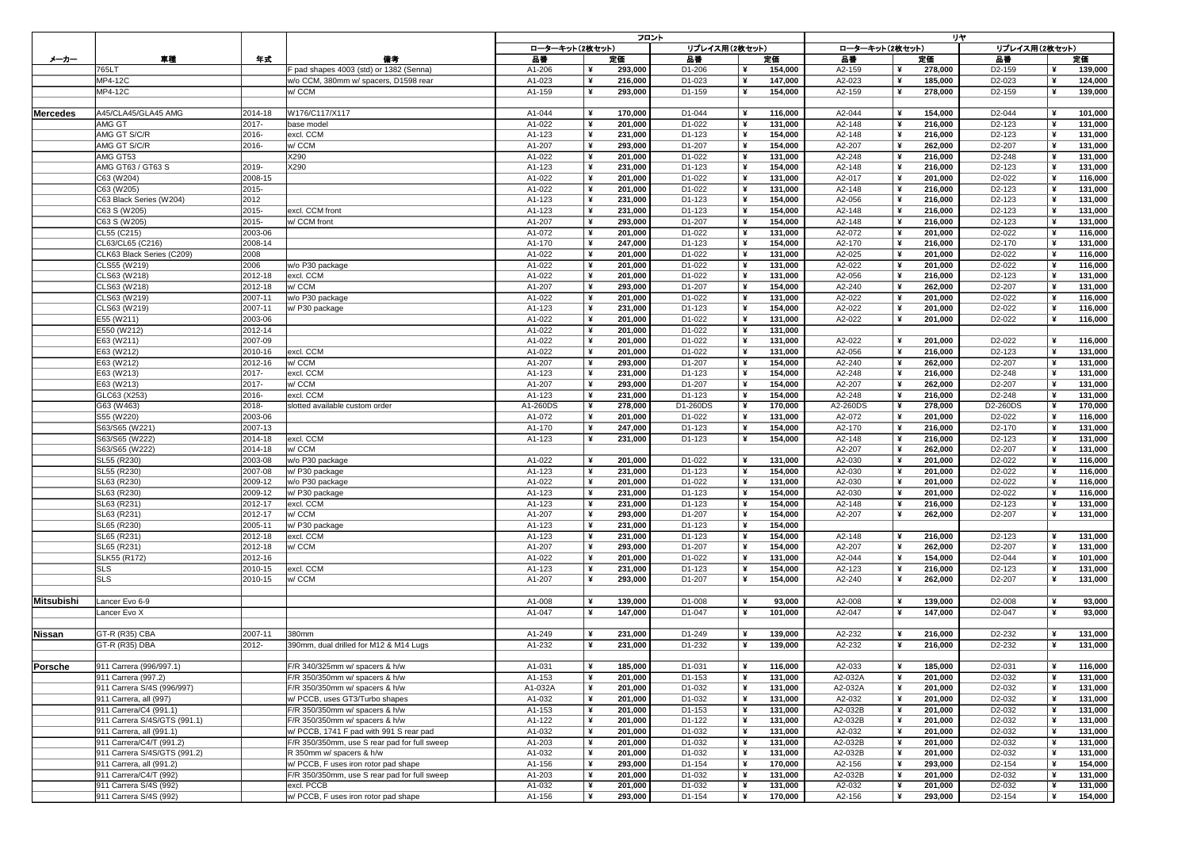|                  |                              |               |                                              |                | フロント | リヤ            |          |   |                |          |  |               |                     |  |         |
|------------------|------------------------------|---------------|----------------------------------------------|----------------|------|---------------|----------|---|----------------|----------|--|---------------|---------------------|--|---------|
|                  |                              |               |                                              | ローターキット(2枚セット) |      | リプレイス用(2枚セット) |          |   | ローターキット(2枚セット) |          |  | リプレイス用(2枚セット) |                     |  |         |
|                  |                              |               |                                              |                |      |               |          |   |                |          |  |               |                     |  |         |
| メーカー             | 車種                           | 年式            | 備考                                           | 品番             |      | 定価            | 品番       |   | 定価             | 品番       |  | 定価            | 品番                  |  | 定価      |
|                  | 765LT                        |               | F pad shapes 4003 (std) or 1382 (Senna)      | A1-206         |      | 293,000       | D1-206   |   | 154,000        | A2-159   |  | 278,000       | D <sub>2</sub> -159 |  | 139,000 |
|                  | <b>MP4-12C</b>               |               | w/o CCM, 380mm w/ spacers, D1598 rear        | A1-023         |      | 216,000       | D1-023   | ¥ | 147,000        | A2-023   |  | 185,000       | D2-023              |  | 124,000 |
|                  | <b>MP4-12C</b>               |               | w/ CCM                                       | A1-159         | ¥    | 293,000       | D1-159   | ¥ | 154,000        | A2-159   |  | 278,000       | D <sub>2</sub> -159 |  | 139,000 |
|                  |                              |               |                                              |                |      |               |          |   |                |          |  |               |                     |  |         |
| <b>IMercedes</b> | A45/CLA45/GLA45 AMG          | 2014-18       | W176/C117/X117                               | A1-044         |      | 170,000       | D1-044   | ¥ | 116,000        | A2-044   |  | 154,000       | D <sub>2</sub> -044 |  | 101,000 |
|                  |                              |               |                                              |                |      |               |          |   |                |          |  |               |                     |  |         |
|                  | <b>AMG GT</b>                | $2017 -$      | base model                                   | A1-022         |      | 201,000       | D1-022   | ¥ | 131,000        | A2-148   |  | 216,000       | D <sub>2</sub> -123 |  | 131,000 |
|                  | AMG GT S/C/R                 | 2016-         | excl. CCM                                    | A1-123         |      | 231,000       | D1-123   |   | 154,000        | A2-148   |  | 216,000       | D2-123              |  | 131,000 |
|                  | AMG GT S/C/R                 | 2016-         | w/ CCM                                       | A1-207         | ¥    | 293,000       | D1-207   |   | 154,000        | A2-207   |  | 262,000       | D2-207              |  | 131,000 |
|                  | AMG GT53                     |               | X290                                         | A1-022         | ¥    | 201,000       | D1-022   |   | 131,000        | A2-248   |  | 216,000       | D2-248              |  | 131,000 |
|                  | AMG GT63 / GT63 S            | 2019-         | X290                                         | A1-123         |      | 231,000       | D1-123   |   | 154,000        | A2-148   |  | 216,000       | D2-123              |  | 131,000 |
|                  | C63 (W204)                   | 2008-15       |                                              | A1-022         |      | 201,000       | D1-022   |   | 131,000        | A2-017   |  | 201,000       | D <sub>2</sub> -022 |  | 116,000 |
|                  |                              |               |                                              |                |      |               |          |   |                |          |  |               |                     |  |         |
|                  | C63 (W205)                   | 2015-         |                                              | A1-022         | ¥    | 201,000       | D1-022   |   | 131,000        | A2-148   |  | 216,000       | D <sub>2</sub> -123 |  | 131,000 |
|                  | C63 Black Series (W204)      | 2012          |                                              | A1-123         |      | 231,000       | D1-123   |   | 154,000        | A2-056   |  | 216,000       | D <sub>2</sub> -123 |  | 131,000 |
|                  | C63 S (W205)                 | 2015-         | excl. CCM front                              | A1-123         | ¥    | 231,000       | D1-123   |   | 154,000        | A2-148   |  | 216,000       | D2-123              |  | 131,000 |
|                  | C63 S (W205)                 | 2015-         | w/ CCM front                                 | A1-207         |      | 293,000       | D1-207   |   | 154,000        | A2-148   |  | 216,000       | D <sub>2</sub> -123 |  | 131,000 |
|                  | CL55 (C215)                  | 2003-06       |                                              | A1-072         |      | 201,000       | D1-022   |   | 131,000        | A2-072   |  | 201,000       | D <sub>2</sub> -022 |  | 116,000 |
|                  | CL63/CL65 (C216)             | 2008-14       |                                              | A1-170         | ¥    | 247,000       | D1-123   |   | 154,000        | A2-170   |  | 216,000       | D <sub>2</sub> -170 |  | 131,000 |
|                  |                              |               |                                              |                |      |               |          |   |                |          |  |               |                     |  |         |
|                  | CLK63 Black Series (C209)    | 2008          |                                              | A1-022         |      | 201,000       | D1-022   |   | 131,000        | A2-025   |  | 201,000       | D <sub>2</sub> -022 |  | 116,000 |
|                  | CLS55 (W219)                 | 2006          | w/o P30 package                              | A1-022         |      | 201,000       | D1-022   |   | 131,000        | A2-022   |  | 201,000       | D <sub>2</sub> -022 |  | 116,000 |
|                  | CLS63 (W218)                 | 2012-18       | excl. CCM                                    | A1-022         |      | 201,000       | D1-022   |   | 131,000        | A2-056   |  | 216,000       | D2-123              |  | 131,000 |
|                  | CLS63 (W218)                 | 2012-18       | w/ CCM                                       | A1-207         |      | 293,000       | D1-207   |   | 154,000        | A2-240   |  | 262,000       | D2-207              |  | 131,000 |
|                  | CLS63 (W219)                 | 2007-11       | w/o P30 package                              | A1-022         |      | 201,000       | D1-022   |   | 131,000        | A2-022   |  | 201,000       | D <sub>2</sub> -022 |  | 116,000 |
|                  |                              |               |                                              |                |      |               |          |   |                |          |  |               |                     |  |         |
|                  | CLS63 (W219)                 | 2007-11       | w/ P30 package                               | A1-123         |      | 231,000       | D1-123   |   | 154,000        | A2-022   |  | 201,000       | D <sub>2</sub> -022 |  | 116,000 |
|                  | E55 (W211)                   | 2003-06       |                                              | A1-022         |      | 201,000       | D1-022   |   | 131,000        | A2-022   |  | 201,000       | D <sub>2</sub> -022 |  | 116,000 |
|                  | E550 (W212)                  | 2012-14       |                                              | A1-022         |      | 201,000       | D1-022   | ¥ | 131,000        |          |  |               |                     |  |         |
|                  | E63 (W211)                   | 2007-09       |                                              | A1-022         |      | 201,000       | D1-022   | ¥ | 131,000        | A2-022   |  | 201,000       | D2-022              |  | 116,000 |
|                  | E63 (W212)                   | 2010-16       | excl. CCM                                    | A1-022         |      | 201,000       | D1-022   |   | 131,000        | A2-056   |  | 216,000       | D <sub>2</sub> -123 |  | 131,000 |
|                  | E63 (W212)                   | 2012-16       | w/ CCM                                       | A1-207         |      | 293,000       | D1-207   |   | 154,000        | A2-240   |  | 262,000       | D2-207              |  | 131,000 |
|                  |                              |               |                                              |                |      |               |          |   |                |          |  |               |                     |  |         |
|                  | E63 (W213)                   | $2017 -$      | excl. CCM                                    | A1-123         |      | 231,000       | D1-123   |   | 154,000        | A2-248   |  | 216,000       | D <sub>2</sub> -248 |  | 131,000 |
|                  | E63 (W213)                   | $2017 -$      | w/ CCM                                       | A1-207         |      | 293,000       | D1-207   |   | 154,000        | A2-207   |  | 262,000       | D2-207              |  | 131,000 |
|                  | GLC63 (X253)                 | 2016-         | excl. CCM                                    | A1-123         |      | 231,000       | D1-123   |   | 154,000        | A2-248   |  | 216,000       | D2-248              |  | 131,000 |
|                  | G63 (W463)                   | 2018-         | slotted available custom order               | A1-260DS       |      | 278,000       | D1-260DS |   | 170,000        | A2-260DS |  | 278,000       | D2-260DS            |  | 170,000 |
|                  | S55 (W220)                   | 2003-06       |                                              | A1-072         |      | 201,000       | D1-022   |   | 131,000        | A2-072   |  | 201,000       | D <sub>2</sub> -022 |  | 116,000 |
|                  | S63/S65 (W221)               | 2007-13       |                                              | A1-170         |      | 247,000       | D1-123   |   | 154,000        | A2-170   |  | 216,000       | D <sub>2</sub> -170 |  | 131,000 |
|                  |                              |               |                                              |                |      |               |          |   |                |          |  |               |                     |  |         |
|                  | S63/S65 (W222)               | $ 2014 - 18 $ | excl. CCM                                    | A1-123         |      | 231,000       | D1-123   |   | 154,000        | A2-148   |  | 216,000       | D <sub>2</sub> -123 |  | 131,000 |
|                  | S63/S65 (W222)               | 2014-18       | w/ CCM                                       |                |      |               |          |   |                | A2-207   |  | 262,000       | D2-207              |  | 131,000 |
|                  | SL55 (R230)                  | 2003-08       | w/o P30 package                              | A1-022         |      | 201,000       | D1-022   |   | 131,000        | A2-030   |  | 201,000       | D <sub>2</sub> -022 |  | 116,000 |
|                  | SL55 (R230)                  | 2007-08       | w/ P30 package                               | A1-123         |      | 231,000       | D1-123   |   | 154,000        | A2-030   |  | 201,000       | D <sub>2</sub> -022 |  | 116,000 |
|                  | SL63 (R230)                  | 2009-12       | w/o P30 package                              | A1-022         |      | 201,000       | D1-022   |   | 131,000        | A2-030   |  | 201,000       | D <sub>2</sub> -022 |  | 116,000 |
|                  |                              |               |                                              |                |      |               |          |   |                |          |  |               |                     |  |         |
|                  | SL63 (R230)                  | 2009-12       | w/ P30 package                               | A1-123         |      | 231,000       | D1-123   |   | 154,000        | A2-030   |  | 201,000       | D2-022              |  | 116,000 |
|                  | SL63 (R231)                  | 2012-17       | excl. CCM                                    | A1-123         |      | 231,000       | D1-123   |   | 154,000        | A2-148   |  | 216,000       | D <sub>2</sub> -123 |  | 131,000 |
|                  | SL63 (R231)                  | 2012-17       | w/ CCM                                       | A1-207         |      | 293,000       | D1-207   |   | 154,000        | A2-207   |  | 262,000       | D <sub>2</sub> -207 |  | 131,000 |
|                  | SL65 (R230)                  | 2005-11       | $ w $ P30 package                            | A1-123         |      | 231,000       | D1-123   |   | 154,000        |          |  |               |                     |  |         |
|                  | SL65 (R231)                  | $ 2012-18 $   | excl. CCM                                    | A1-123         |      | 231,000       | D1-123   |   | 154,000        | A2-148   |  | 216,000       | D <sub>2</sub> -123 |  | 131,000 |
|                  |                              |               |                                              |                |      |               |          |   |                |          |  |               |                     |  |         |
|                  | SL65 (R231)                  | 2012-18       | w/ CCM                                       | A1-207         |      | 293,000       | D1-207   |   | 154,000        | A2-207   |  | 262,000       | D2-207              |  | 131,000 |
|                  | SLK55 (R172)                 | 2012-16       |                                              | A1-022         |      | 201,000       | D1-022   |   | 131,000        | A2-044   |  | 154,000       | D2-044              |  | 101,000 |
|                  | <b>SLS</b>                   | 2010-15       | excl. CCM                                    | A1-123         |      | 231,000       | D1-123   |   | 154,000        | A2-123   |  | 216,000       | D <sub>2</sub> -123 |  | 131,000 |
|                  | <b>SLS</b>                   | 2010-15       | w/CCM                                        | A1-207         |      | 293,000       | D1-207   |   | 154,000        | A2-240   |  | 262,000       | D2-207              |  | 131,000 |
|                  |                              |               |                                              |                |      |               |          |   |                |          |  |               |                     |  |         |
|                  |                              |               |                                              |                |      |               |          |   |                |          |  |               |                     |  |         |
| Mitsubishi       | Lancer Evo 6-9               |               |                                              | A1-008         |      | 139,000       | D1-008   |   | 93,000         | A2-008   |  | 139,000       | D <sub>2</sub> -008 |  | 93,000  |
|                  | Lancer Evo X                 |               |                                              | A1-047         |      | 147,000       | D1-047   | ¥ | 101,000        | A2-047   |  | 147,000       | D <sub>2</sub> -047 |  | 93,000  |
|                  |                              |               |                                              |                |      |               |          |   |                |          |  |               |                     |  |         |
| <b>Nissan</b>    | GT-R (R35) CBA               | 2007-11       | 380mm                                        | A1-249         |      | 231,000       | D1-249   | ¥ | 139,000        | A2-232   |  | 216,000       | D2-232              |  | 131,000 |
|                  | GT-R (R35) DBA               | 2012-         | 390mm, dual drilled for M12 & M14 Lugs       | A1-232         |      | 231,000       | D1-232   |   | 139,000        | A2-232   |  | 216,000       | D2-232              |  | 131,000 |
|                  |                              |               |                                              |                |      |               |          |   |                |          |  |               |                     |  |         |
|                  |                              |               |                                              |                |      |               |          |   |                |          |  |               |                     |  |         |
| <b>Porsche</b>   | 911 Carrera (996/997.1)      |               | F/R 340/325mm w/ spacers & h/w               | A1-031         |      | 185,000       | D1-031   |   | 116,000        | A2-033   |  | 185,000       | D <sub>2</sub> -031 |  | 116,000 |
|                  | 911 Carrera (997.2)          |               | F/R 350/350mm w/ spacers & h/w               | A1-153         |      | 201,000       | D1-153   |   | 131,000        | A2-032A  |  | 201,000       | D2-032              |  | 131,000 |
|                  | 911 Carrera S/4S (996/997)   |               | F/R 350/350mm w/ spacers & h/w               | A1-032A        |      | 201,000       | D1-032   |   | 131,000        | A2-032A  |  | 201,000       | D <sub>2</sub> -032 |  | 131,000 |
|                  | 911 Carrera, all (997)       |               | w/ PCCB, uses GT3/Turbo shapes               | A1-032         |      | 201,000       | D1-032   |   | 131,000        | A2-032   |  | 201,000       | D <sub>2</sub> -032 |  | 131,000 |
|                  | 911 Carrera/C4 (991.1)       |               | F/R 350/350mm w/ spacers & h/w               | A1-153         | ¥    | 201,000       | D1-153   |   | 131,000        | A2-032B  |  | 201,000       | D2-032              |  | 131,000 |
|                  |                              |               |                                              |                |      |               |          |   |                |          |  |               |                     |  |         |
|                  | 911 Carrera S/4S/GTS (991.1) |               | F/R 350/350mm w/ spacers & h/w               | A1-122         |      | 201,000       | D1-122   |   | 131,000        | A2-032B  |  | 201,000       | D <sub>2</sub> -032 |  | 131,000 |
|                  | 911 Carrera, all (991.1)     |               | w/ PCCB, 1741 F pad with 991 S rear pad      | A1-032         |      | 201,000       | D1-032   |   | 131,000        | A2-032   |  | 201,000       | D2-032              |  | 131,000 |
|                  | 911 Carrera/C4/T (991.2)     |               | F/R 350/350mm, use S rear pad for full sweep | A1-203         |      | 201,000       | D1-032   | ¥ | 131,000        | A2-032B  |  | 201,000       | D <sub>2</sub> -032 |  | 131,000 |
|                  | 911 Carrera S/4S/GTS (991.2) |               | R 350mm w/ spacers & h/w                     | A1-032         |      | 201,000       | D1-032   | ¥ | 131,000        | A2-032B  |  | 201,000       | D <sub>2</sub> -032 |  | 131,000 |
|                  | 911 Carrera, all (991.2)     |               | w/ PCCB, F uses iron rotor pad shape         | A1-156         |      | 293,000       | D1-154   |   | 170,000        | A2-156   |  | 293,000       | D <sub>2</sub> -154 |  | 154,000 |
|                  |                              |               | F/R 350/350mm, use S rear pad for full sweep | A1-203         |      |               | D1-032   |   | 131,000        | A2-032B  |  | 201,000       | D2-032              |  |         |
|                  | 911 Carrera/C4/T (992)       |               |                                              |                |      | 201,000       |          |   |                |          |  |               |                     |  | 131,000 |
|                  | 911 Carrera S/4S (992)       |               | excl. PCCB                                   | A1-032         |      | 201,000       | D1-032   |   | 131,000        | A2-032   |  | 201,000       | D <sub>2</sub> -032 |  | 131,000 |
|                  | 911 Carrera S/4S (992)       |               | W/ PCCB, F uses iron rotor pad shape         | A1-156         |      | 293,000       | D1-154   | ¥ | 170,000        | A2-156   |  | 293,000       | D <sub>2</sub> -154 |  | 154,000 |